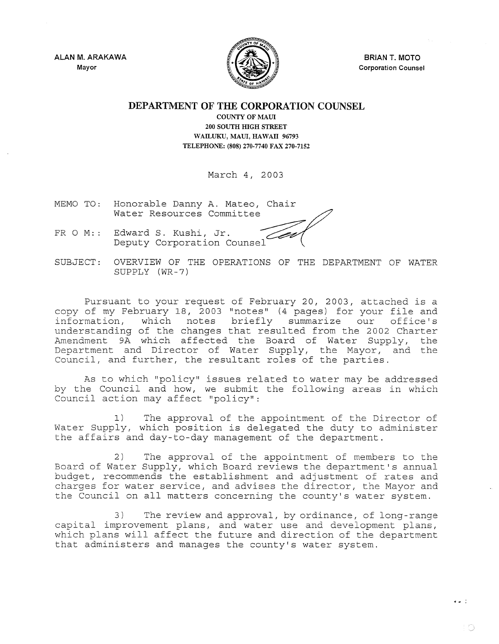ALAN M. ARAKAWA Mayor



BRIAN T. MOTO Corporation Counsel

 $\bullet$   $\bullet$   $\stackrel{?}{\bullet}$ 

10

## DEPARTMENT OF THE CORPORATION COUNSEL

COUNTY OF MAUI 200 SOUTH HIGH STREET WAILUKU, MAUI, HAWAII 96793 TELEPHONE: (808) 270-7740 FAX 270-7152

March 4, 2003

- MEMO TO: Honorable Danny A. Mateo, Chair Water Resources Committee
- FR 0 M:: Edward S. Kushi, Jr. Deputy Corporation Counsel
- SUBJECT: OVERVIEW OF THE OPERATIONS OF THE DEPARTMENT OF WATER SUPPLY (WR-7)

Pursuant to your request of February 20, 2003, attached is a copy of my February 18, 2003 "notes" (4 pages) for your file and<br>information, which notes briefly summarize our office's which notes briefly summarize our office's understanding of the changes that resulted from the 2002 Charter Amendment 9A which affected the Board of Water Supply, the Department and Director of Water Supply, the Mayor, and the Council, and further, the resultant roles of the parties.

As to which "policy" issues related to water may be addressed by the Council and how, we submit the following areas in which Council action may affect "policy":

1) The approval of the appointment of the Director of Water Supply, which position is delegated the duty to administer the affairs and day-to-day management of the department.

2) The approval of the appointment of members to the Board of Water Supply, which Board reviews the department's annual budget, recommends the establishment and adjustment of rates and charges for water service, and advises the director, the Mayor and the Council on all matters concerning the county's water system.

3) The review and approval, by ordinance, of long-range capital improvement plans, and water use and development plans, which plans will affect the future and direction of the department that administers and manages the county's water system.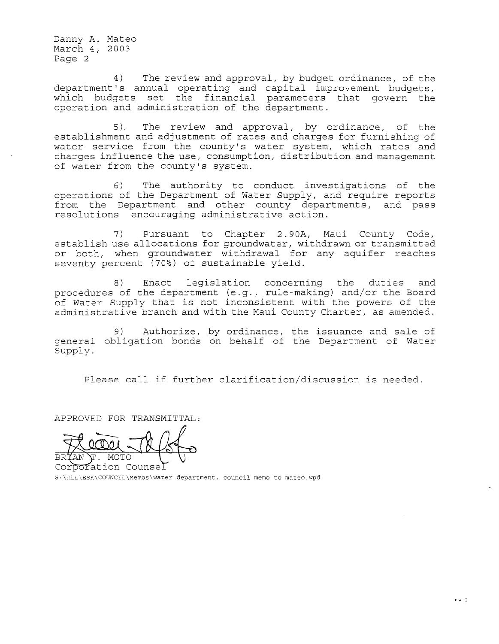Danny **A.** Mateo March 4, 2003 Page 2

4) The review and approval, by budget ordinance, of the department's annual operating and capital improvement budgets, which budgets set the financial parameters that govern the operation and administration of the department.

5). The review and approval, by ordinance, of the establishment and adjustment of rates and charges for furnishing of water service from the county's water system, which rates and charges influence the use, consumption, distribution and management of water from the county's system.

6) The authority to conduct investigations of the operations of the Department of Water Supply, and require reports from the Department and other county departments, and pass resolutions encouraging administrative action.

7) Pursuant to Chapter 2.90A, Maui County Code, establish use allocations for groundwater, withdrawn or transmitted or both, when groundwater withdrawal for any aquifer reaches seventy percent (70%) of sustainable yield.

8) Enact legislation concerning the duties and procedures of the department (e.g., rule-making) and/or the Board of Water Supply that is not inconsistent with the powers of the administrative branch and with the Maui County Charter, as amended.

general obligation bonds on behalf of the Department of Water Supply. 9) Authorize, by ordinance, the issuance and sale of

Please call if further clarification/discussion is needed.

APPROVED FOR TRANSMITTAL:

MOTO

Corporation Counsel  $\scriptstyle\rm S:\Delta L\text{-}\Sigma\times\mathrm{COWCIL}\setminus\hspace{-0.5mm}\text{Memory}$  department, council memo to mateo.wpd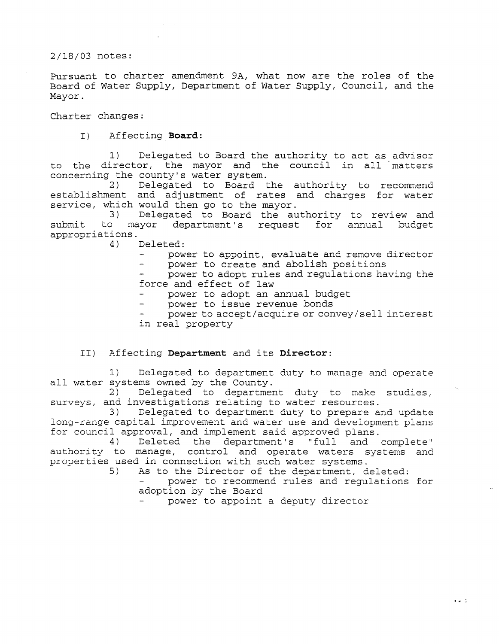2/18/03 notes:

Pursuant to charter amendment 9A, what now are the roles of the Board of Water Supply, Department of Water Supply, Council, and the Mayor.

Charter changes:

I) Affecting **Board:** 

1) Delegated to Board the authority to act as advisor to the director, the mayor and the council in all matters concerning the county's water system.<br>2) Delegated to Board t

Delegated to Board the authority to recommend establishment and adjustment of rates and charges for water service, which would then go to the mayor.<br>3) Delegated to Board the au

3) Delegated to Board the authority to review and<br>to mayor department's request for annual budget submit to mayor department's request for annual appropriations.<br>4) 1

Deleted:

power to appoint, evaluate and remove director

power to create and abolish positions  $\overline{\phantom{0}}$ 

power to adopt rules and regulations having the force and effect of law

- power to adopt an annual budget
- power to issue revenue bonds
- power to accept/acquire or convey/sell interest in real property

# II) Affecting **Department** and its **Director:**

1) Delegated to department duty to manage and operate all water systems owned by the County.<br>2) Delegated to departmen

Delegated to department duty to make studies, surveys, and investigations relating to water resources.<br>3) Delegated to department duty to prepare a

Delegated to department duty to prepare and update long-range capital improvement and water use and development plans for council approval, and implement said approved plans.<br>4) Deleted the department's "full and

4) Deleted the department's "full and complete" authority to manage, control and operate waters systems and properties used in connection with such water systems.<br>5) As to the Director of the department, d

As to the Director of the department, deleted:

power to recommend rules and regulations for adoption by the Board

..,." :

power to appoint a deputy director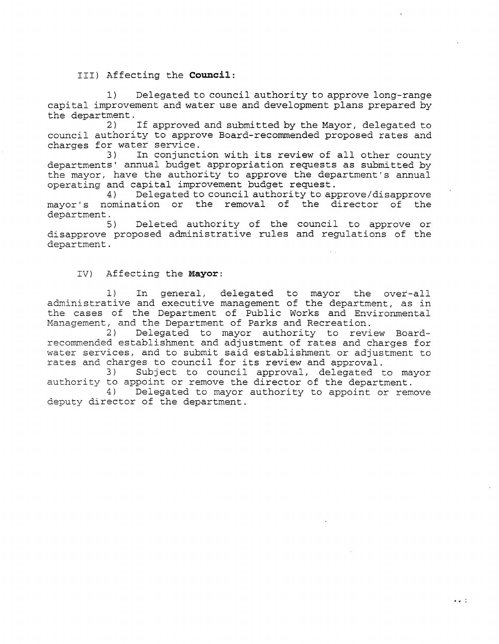III) Affecting the **Council:** 

1) Delegated to council authority to approve long-range capital improvement and water use and development plans prepared by the department.<br>2)

If approved and submitted by the Mayor, delegated to council authority to approve Board-recommended proposed rates and charges for water service.<br>3) In conjunct

In conjunction with its review of all other county departments' annual budget appropriation requests as submitted by the mayor, have the authority to approve the department's annual operating and capital improvement budget request.<br>4) Delegated to council authority to ap

4) Delegated to council authority to approve/disapprove mayor's nomination or the removal of the director of the department.<br>5)

Deleted authority of the council to approve or disapprove proposed administrative rules and regulations of the department.

## IV) Affecting the **Mayor:**

1) In general, delegated to mayor the over-all administrative and executive management of the department, as in the cases of the Department of Public Works and Environmental Management, and the Department of Parks and Recreation.

2) Delegated to mayor authority to review Boardrecommended establishment and adjustment of rates and charges for water services, and to submit said establishment or adjustment to rates and charges to council for its review and approval.<br>3) Subject to council approval, delegated t

Subject to council approval, delegated to mayor authority to appoint or remove the director of the department.<br>4) Delegated to mayor authority to appoint or rem

Delegated to mayor authority to appoint or remove deputy director of the department.

 $\bullet$   $\bullet$   $\circ$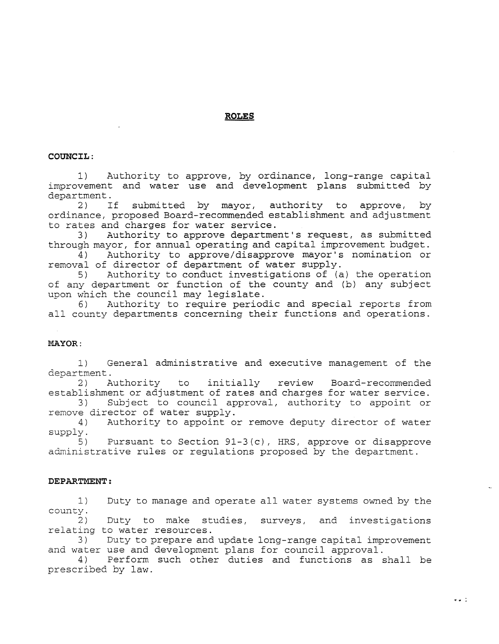## **ROLES**

### **COUNCIL:**

1) Authority to approve, by ordinance, long-range capital improvement and water use and development plans submitted by department.<br>2) If

submitted by mayor, authority to approve, by ordinance, proposed Board-recommended establishment and adjustment to rates and charges for water service.<br>3) Authority to approve departme

Authority to approve department's request, as submitted through mayor, for annual operating and capital improvement budget.<br>4) Authority to approve/disapprove mayor's nomination or

Authority to approve/disapprove mayor's nomination or removal of director of department of water supply.<br>5) Authority to conduct investigations of (a

Authority to conduct investigations of (a) the operation of any department or function of the county and (b) any subject upon which the council may legislate.<br>6) Authority to require period

Authority to require periodic and special reports from all county departments concerning their functions and operations.

#### **MAYOR:**

1) General administrative and executive management of the department.<br>  $2)$  A

2) Authority to initially review Board-recommended establishment or adjustment of rates and charges for water service.<br>3) Subject to council approval, authority to appoint or

Subject to council approval, authority to appoint or remove director of water supply.<br>4) Authority to appoint o

Authority to appoint or remove deputy director of water supply.

5) Pursuant to Section 91-3(c), HRS, approve or disapprove administrative rules or regulations proposed by the department.

### **DEPARTMENT:**

1) Duty to manage and operate all water systems owned by the  $\begin{bmatrix} \text{county} \\ 2 \end{bmatrix}$ 

2) Duty to make studies, surveys, and investigations relating to water resources.

3) Duty to prepare and update long-range capital improvement and water use and development plans for council approval.

4) Perform such other duties and functions as shall be prescribed by law.